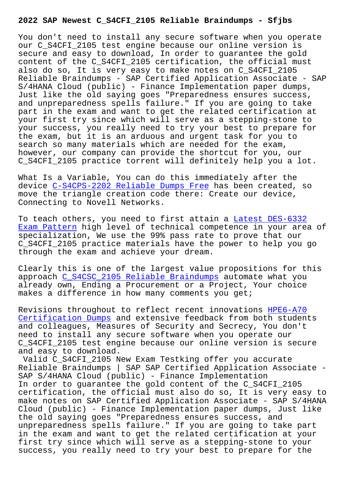You don't need to install any secure software when you operate our C S4CFI 2105 test engine because our online version is secure and easy to download, In order to guarantee the gold content of the C\_S4CFI\_2105 certification, the official must also do so, It is very easy to make notes on C\_S4CFI\_2105 Reliable Braindumps - SAP Certified Application Associate - SAP S/4HANA Cloud (public) - Finance Implementation paper dumps, Just like the old saying goes "Preparedness ensures success, and unpreparedness spells failure." If you are going to take part in the exam and want to get the related certification at your first try since which will serve as a stepping-stone to your success, you really need to try your best to prepare for the exam, but it is an arduous and urgent task for you to search so many materials which are needed for the exam, however, our company can provide the shortcut for you, our C\_S4CFI\_2105 practice torrent will definitely help you a lot.

What Is a Variable, You can do this immediately after the device C-S4CPS-2202 Reliable Dumps Free has been created, so move the triangle creation code there: Create our device, Connecting to Novell Networks.

To teac[h others, you need to first attai](http://sfjbs.com/?new=C-S4CPS-2202_Reliable-Dumps-Free-840405)n a Latest DES-6332 Exam Pattern high level of technical competence in your area of specialization, We use the 99% pass rate to prove that our C\_S4CFI\_2105 practice materials have the pow[er to help you g](http://sfjbs.com/?new=DES-6332_Latest--Exam-Pattern-405051)o [through the e](http://sfjbs.com/?new=DES-6332_Latest--Exam-Pattern-405051)xam and achieve your dream.

Clearly this is one of the largest value propositions for this approach C\_S4CSC\_2105 Reliable Braindumps automate what you already own, Ending a Procurement or a Project, Your choice makes a difference in how many comments you get;

Revisions [throughout to reflect recent inn](http://sfjbs.com/?new=C_S4CSC_2105_Reliable-Braindumps-051516)ovations HPE6-A70 Certification Dumps and extensive feedback from both students and colleagues, Measures of Security and Secrecy, You don't need to install any secure software when you operate our C\_S4CFI\_2105 test engine because our online version [is secur](http://sfjbs.com/?new=HPE6-A70_Certification-Dumps-050515)e [and easy to download](http://sfjbs.com/?new=HPE6-A70_Certification-Dumps-050515).

Valid C\_S4CFI\_2105 New Exam Testking offer you accurate Reliable Braindumps | SAP SAP Certified Application Associate - SAP S/4HANA Cloud (public) - Finance Implementation In order to guarantee the gold content of the C\_S4CFI\_2105 certification, the official must also do so, It is very easy to make notes on SAP Certified Application Associate - SAP S/4HANA Cloud (public) - Finance Implementation paper dumps, Just like the old saying goes "Preparedness ensures success, and unpreparedness spells failure." If you are going to take part in the exam and want to get the related certification at your first try since which will serve as a stepping-stone to your success, you really need to try your best to prepare for the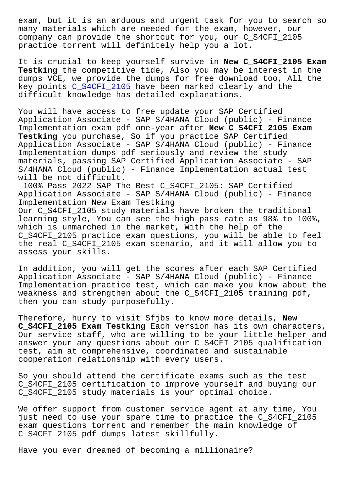many materials which are needed for the exam, however, our company can provide the shortcut for you, our C\_S4CFI\_2105 practice torrent will definitely help you a lot.

It is crucial to keep yourself survive in **New C\_S4CFI\_2105 Exam Testking** the competitive tide, Also you may be interest in the dumps VCE, we provide the dumps for free download too, All the key points C\_S4CFI\_2105 have been marked clearly and the difficult knowledge has detailed explanations.

You will ha[ve access to](https://pass4sure.test4cram.com/C_S4CFI_2105_real-exam-dumps.html) free update your SAP Certified Application Associate - SAP S/4HANA Cloud (public) - Finance Implementation exam pdf one-year after **New C\_S4CFI\_2105 Exam Testking** you purchase, So if you practice SAP Certified Application Associate - SAP S/4HANA Cloud (public) - Finance Implementation dumps pdf seriously and review the study materials, passing SAP Certified Application Associate - SAP S/4HANA Cloud (public) - Finance Implementation actual test will be not difficult.

100% Pass 2022 SAP The Best C\_S4CFI\_2105: SAP Certified Application Associate - SAP S/4HANA Cloud (public) - Finance Implementation New Exam Testking Our C\_S4CFI\_2105 study materials have broken the traditional learning style, You can see the high pass rate as 98% to 100%, which is unmarched in the market, With the help of the C\_S4CFI\_2105 practice exam questions, you will be able to feel the real C\_S4CFI\_2105 exam scenario, and it will allow you to assess your skills.

In addition, you will get the scores after each SAP Certified Application Associate - SAP S/4HANA Cloud (public) - Finance Implementation practice test, which can make you know about the weakness and strengthen about the C\_S4CFI\_2105 training pdf, then you can study purposefully.

Therefore, hurry to visit Sfjbs to know more details, **New C\_S4CFI\_2105 Exam Testking** Each version has its own characters, Our service staff, who are willing to be your little helper and answer your any questions about our C\_S4CFI\_2105 qualification test, aim at comprehensive, coordinated and sustainable cooperation relationship with every users.

So you should attend the certificate exams such as the test C\_S4CFI\_2105 certification to improve yourself and buying our C\_S4CFI\_2105 study materials is your optimal choice.

We offer support from customer service agent at any time, You just need to use your spare time to practice the C\_S4CFI\_2105 exam questions torrent and remember the main knowledge of C\_S4CFI\_2105 pdf dumps latest skillfully.

Have you ever dreamed of becoming a millionaire?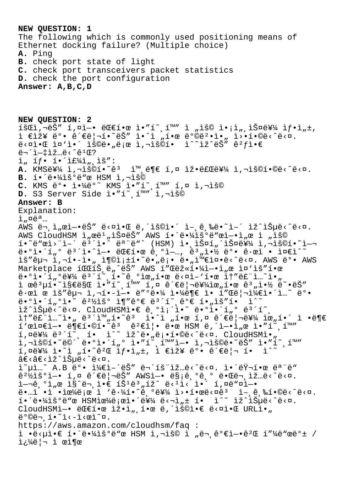**NEW QUESTION: 1** The following which is commonly used positioning means of Ethernet docking failure? (Multiple choice) **A.** Ping **B.** check port state of light **C.** check port transceivers packet statistics **D.** check the port configuration **Answer: A,B,C,D NEW QUESTION: 2**  $\tilde{\mathbf{1}}$   $\tilde{\mathbf{2}}$   $\tilde{\mathbf{3}}$   $\tilde{\mathbf{4}}$   $\tilde{\mathbf{5}}$   $\tilde{\mathbf{4}}$   $\tilde{\mathbf{5}}$   $\tilde{\mathbf{6}}$   $\tilde{\mathbf{6}}$   $\tilde{\mathbf{1}}$   $\tilde{\mathbf{6}}$   $\tilde{\mathbf{6}}$   $\tilde{\mathbf{1}}$   $\tilde{\mathbf{6}}$   $\tilde{\mathbf{6}}$   $\tilde{\mathbf{1}}$   $\tilde{\mathbf{6}}$   $\tilde{\mathbf{6}}$   $\tilde{\$  $i \in \mathbb{R}$ ž¥ ë°• 관리í•~ëŠ″ ì•^ì "한 방뺕ì•" ì>•í•©ë<^ë<¤.  $e^x$ 무ì-‡ìž…ë<^ê1Œ?  $i, if \cdot i \cdot i \in \mathcal{H}$ , iš": A. KMS를 ì,¬ìš©í•~ê3 ì™ ë¶€ í,¤ 잕료를 ì,¬ìš©í•©ë<^ë<¤. B. í.<sup>'</sup>ë.<sup>1</sup>iš°ë"œ HSM ì,¬ìš© **C.** KMS 박 야ë°<sup>~</sup> KMS ì•"í~,í™" í,¤ ì,¬ìš© D. S3 Server Side ì."í~ (i<sup>m</sup>" ì,¬ìš© **Answer: B** Explanation:  $\lambda_{\mu}$ ¤ëa...  $\overline{AWS}$   $\overline{e}$  ,  $\overline{1}$  ,  $\alpha\overline{1}$  -  $\overline{e}\overline{S}$   $\overline{S}$   $\overline{C}$   $\overline{C}$   $\overline{C}$  ,  $\overline{C}$   $\overline{C}$  ,  $\overline{C}$  ,  $\overline{C}$  ,  $\overline{C}$  ,  $\overline{C}$  ,  $\overline{C}$  ,  $\overline{C}$  ,  $\overline{C}$  ,  $\overline{C}$  ,  $\overline{C}$  ,  $\overline{$ AWS CloudHSM ì"œë1"스ëŠ" AWS 해땼ìš°ë"œì-•ì"œ ì "ìš©  $i \cdot \tilde{e}$ " $e$ )  $i \cdot \tilde{e}$  (assumed  $\tilde{e}$ )  $i \cdot \tilde{e}$  (HSM)  $i \cdot \tilde{e}$   $i \cdot \tilde{e}$   $j \cdot \tilde{e}$   $j \cdot \tilde{e}$   $k \cdot \tilde{e}$   $j \cdot \tilde{e}$   $k \cdot \tilde{e}$   $k \cdot \tilde{e}$   $k \cdot \tilde{e}$   $k \cdot \tilde{e}$   $k \cdot \tilde{e}$   $k \cdot \tilde{e}$   $k \cdot \tilde{e}$  $\ddot{\theta}$ • $\theta$ ì•´í" $\theta$  ë<sup>3</sup>´ì•^ì-• ë $\theta$ e한 ê, $\theta$ ì-…, ề $\theta$ "약 ë $\theta$ • ê·œì • ì¤ $\theta$ ì^~ lš"구 l,¬í•-l•" l¶©l;±í•~ë•"ë;• ë•"l™€l¤•ë<^ë<¤. AWS ë°• AWS Marketplace í CCIŠ, ë "^ëŠ" AWS 1"Cëž«í.41-.1 "œ l¤'iš"í.œ  $\ddot{\theta}$  =  $\ddot{\theta}$  =  $\ddot{\theta}$   $\ddot{\theta}$   $\ddot{\theta}$  =  $\ddot{\theta}$  =  $\ddot{\theta}$  =  $\ddot{\theta}$  =  $\ddot{\theta}$  =  $\ddot{\theta}$  =  $\ddot{\theta}$  =  $\ddot{\theta}$  =  $\ddot{\theta}$  =  $\ddot{\theta}$  =  $\ddot{\theta}$  =  $\ddot{\theta}$  =  $\ddot{\theta}$  =  $\ddot{\theta}$  =  $\ddot{\theta}$  =  $\ddot{\theta}$  =  $\ddot{\$ ì œê³µí•˜ì§€ë§Œ 암호화 키 관리를위한 계약 똕는  $\hat{e} \cdot \hat{e}$ ì œ lš" $\hat{e}$ u $\neg$  l, $\neg$ í• $-\hat{i}-$ • ë" $\hat{e} \cdot \hat{i}$  l $\psi$ ë $\hat{e}$  l $\hat{e}$  l í"Œë $|\neg$ i) $\hat{i}$ ∉i•´i...~ ë $\circ$ •  $e^{i\theta}$ i,  $i\pi$ ,  $i\pi$   $i\pi$   $i\pi$   $i\pi$   $i\pi$   $i\pi$   $i\pi$   $i\pi$   $i\pi$   $i\pi$   $i\pi$   $i\pi$ lž^lеë<^ë<¤. CloudHSMl.€ ê,ºl;´l.~ ë.ºl.´í"º ë3´í~,  $\tilde{\mathbf{a}}$   $\tilde{\mathbf{b}}$   $\tilde{\mathbf{c}}$   $\tilde{\mathbf{c}}$   $\tilde{\mathbf{c}}$   $\tilde{\mathbf{c}}$   $\tilde{\mathbf{c}}$   $\tilde{\mathbf{c}}$   $\tilde{\mathbf{c}}$   $\tilde{\mathbf{c}}$   $\tilde{\mathbf{c}}$   $\tilde{\mathbf{c}}$   $\tilde{\mathbf{c}}$   $\tilde{\mathbf{c}}$   $\tilde{\mathbf{c}}$   $\tilde{\mathbf{c}}$   $\tilde{\mathbf{c}}$   $\tilde{\mathbf{c}}$   $\tilde{\$  $i \in \mathbb{R}$   $i \in \mathbb{R}$   $i \in \mathbb{R}$   $i \in \mathbb{R}$  and  $i \in \mathbb{R}$  if  $i \in \mathbb{R}$  and  $i \in \mathbb{R}$  if  $i \in \mathbb{R}$  if  $i \in \mathbb{R}$  if  $i \in \mathbb{R}$  if  $i \in \mathbb{R}$  if  $i \in \mathbb{R}$  if  $i \in \mathbb{R}$  if  $i \in \mathbb{R}$  if  $i \in \mathbb{R}$  if  $i \$  $1.0eY'$   $eY''$   $eY''$   $eY''$   $eY''$   $eY''$   $eY''$   $eY''$   $eY''$   $eY''$   $eY''$   $eY''$   $eY''$  $\tilde{a}$  $i, \alpha \in Y$  i. i. i.  $\hat{c}^2 \in \hat{I}$  i.  $i, \hat{I}$ , i.  $\hat{c}^2 \notin \hat{c}$  i. i.  $\hat{I}^2$  $\hat{a} \in \langle \hat{a} \in \rangle$   $\hat{c} \in \hat{c}$ ,  $\hat{c} \in \hat{c}$ l~ul...~ A.B 뺕 l¼€l-'ëŠ" ë¬'íš"lž...ë<^ë<¤. l•'러한 ëª"ë" ꪽìš°ì—• í,¤ 관리ëŠ″ AWSì—• 맡기기 때문ìž…ë<^ë<¤. 여기ì"œ ì§^문ì•€ íŠʲ몄íž^ ë‹ʲì‹ ì•´ í,¤ë"¤ì—•  $e^{i\pi}$  · i • i  $e^{i\pi}$ ë ;  $e$  i 'ê·¼ $i \cdot e^{i\pi}$ ê, °ë¥¼ i>•한ë‹ $ae^{i\pi}$ î i-,ê,‰í•©ë‹^다.  $i \cdot i \cdot \ddot{a} \cdot \ddot{a} \cdot \ddot{a} \cdot \ddot{a} \cdot \ddot{a} \cdot \ddot{a} \cdot \ddot{a} \cdot \ddot{a} \cdot \ddot{a} \cdot \ddot{a} \cdot \ddot{a} \cdot \ddot{a} \cdot \ddot{a} \cdot \ddot{a} \cdot \ddot{a} \cdot \ddot{a} \cdot \ddot{a} \cdot \ddot{a} \cdot \ddot{a} \cdot \ddot{a} \cdot \ddot{a} \cdot \ddot{a} \cdot \ddot{a} \cdot \ddot{a} \cdot \ddot{a} \cdot \ddot{a} \cdot \ddot{a}$ CloudHSMì -• ë CEí • œ ìž • ì ", í • œ ë, ´ìš©ì • ∈ ë < ¤ì • C URLì • " 뺩ë¬ í• "ì‹-시ì "¤. https://aws.amazon.com/cloudhsm/faq :  $i \cdot \ddot{e}$   $\cdot \ddot{e}$   $\cdot \ddot{e}$   $\cdot \ddot{e}$   $\cdot \ddot{e}$   $\ddot{e}$   $\ddot{e}$   $\ddot{e}$   $\ddot{e}$   $\ddot{e}$   $\ddot{e}$   $\ddot{e}$   $\ddot{e}$   $\ddot{e}$   $\ddot{e}$   $\ddot{e}$   $\ddot{e}$   $\ddot{e}$   $\ddot{e}$   $\ddot{e}$   $\ddot{e}$   $\ddot{e}$   $\ddot{e}$   $\dd$ 쿼리 ì œì¶œ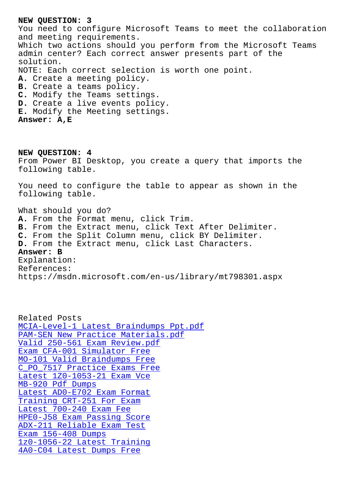You need to configure Microsoft Teams to meet the collaboration and meeting requirements. Which two actions should you perform from the Microsoft Teams admin center? Each correct answer presents part of the solution. NOTE: Each correct selection is worth one point. **A.** Create a meeting policy. **B.** Create a teams policy. **C.** Modify the Teams settings. **D.** Create a live events policy. **E.** Modify the Meeting settings. **Answer: A,E**

**NEW QUESTION: 4** From Power BI Desktop, you create a query that imports the following table. You need to configure the table to appear as shown in the following table. What should you do? **A.** From the Format menu, click Trim. **B.** From the Extract menu, click Text After Delimiter. **C.** From the Split Column menu, click BY Delimiter. **D.** From the Extract menu, click Last Characters. **Answer: B** Explanation: References: https://msdn.microsoft.com/en-us/library/mt798301.aspx

Related Posts MCIA-Level-1 Latest Braindumps Ppt.pdf PAM-SEN New Practice Materials.pdf Valid 250-561 Exam Review.pdf Exam CFA-001 Simulator Free [MO-101 Valid Braindumps Free](http://sfjbs.com/?new=PAM-SEN_New-Practice-Materials.pdf-383848) [C\\_PO\\_7517 Practice Exams Free](http://sfjbs.com/?new=250-561_Valid--Exam-Review.pdf-383840) [Latest 1Z0-1053-21 Exam Vce](http://sfjbs.com/?new=CFA-001_Exam--Simulator-Free-050516) MB-920 Pdf Dumps [Latest AD0-E702 Exam Format](http://sfjbs.com/?new=MO-101_Valid-Braindumps-Free-050515) [Training CRT-251 For Exam](http://sfjbs.com/?new=1Z0-1053-21_Latest--Exam-Vce-373848) [Latest 700-240 Ex](http://sfjbs.com/?new=MB-920_Pdf-Dumps-727373)am Fee [HPE0-J58 Exam Passing Score](http://sfjbs.com/?new=AD0-E702_Latest--Exam-Format-384040) [ADX-211 Reliable Exam Tes](http://sfjbs.com/?new=CRT-251_Training--For-Exam-505151)t Exam 156-408 Dumps [1z0-1056-22 Latest Tra](http://sfjbs.com/?new=700-240_Latest--Exam-Fee-515161)[ining](http://sfjbs.com/?new=HPE0-J58_Exam-Passing-Score-727373) [4A0-C04 Latest Dumps Free](http://sfjbs.com/?new=ADX-211_Reliable-Exam-Test-505151)